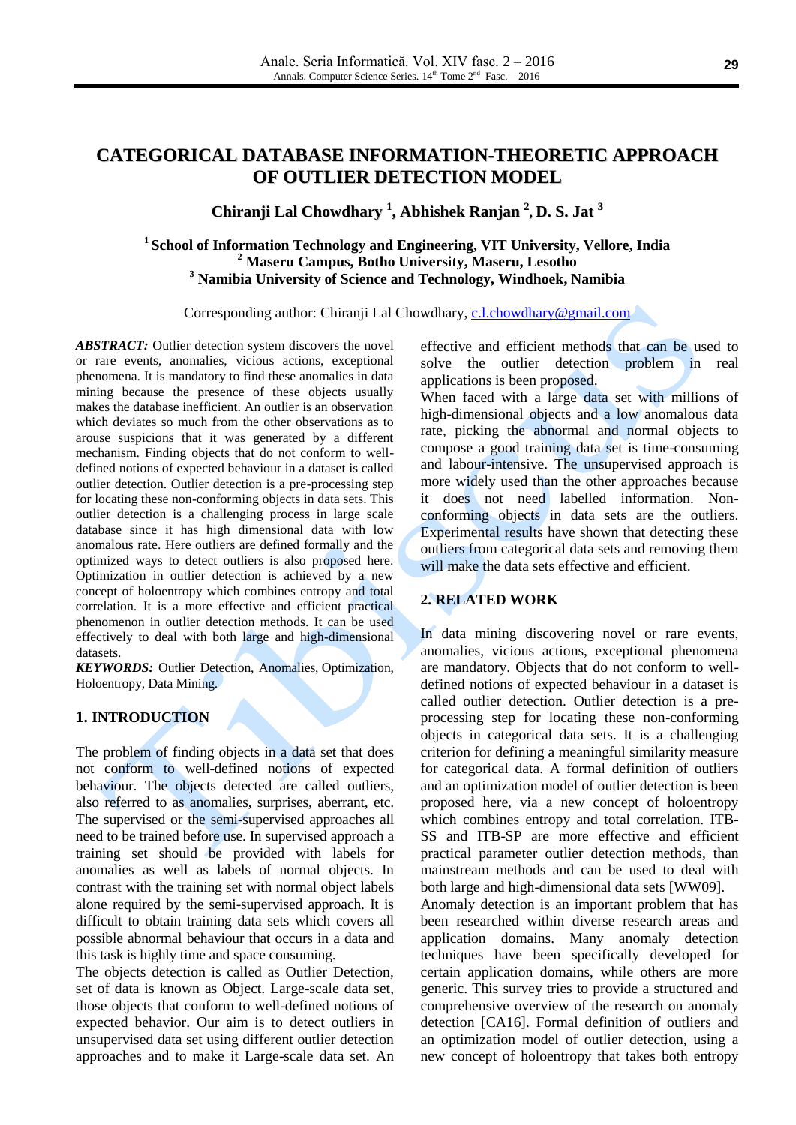# **CATEGORICAL DATABASE INFORMATION-THEORETIC APPROACH OF OUTLIER DETECTION MODEL**

# **Chiranji Lal Chowdhary 1 , Abhishek Ranjan 2 , D. S. Jat 3**

# **1 School of Information Technology and Engineering, VIT University, Vellore, India <sup>2</sup> Maseru Campus, Botho University, Maseru, Lesotho <sup>3</sup> Namibia University of Science and Technology, Windhoek, Namibia**

Corresponding author: Chiranji Lal Chowdhary, [c.l.chowdhary@gmail.com](mailto:c.l.chowdhary@gmail.com)

*ABSTRACT:* Outlier detection system discovers the novel or rare events, anomalies, vicious actions, exceptional phenomena. It is mandatory to find these anomalies in data mining because the presence of these objects usually makes the database inefficient. An outlier is an observation which deviates so much from the other observations as to arouse suspicions that it was generated by a different mechanism. Finding objects that do not conform to welldefined notions of expected behaviour in a dataset is called outlier detection. Outlier detection is a pre-processing step for locating these non-conforming objects in data sets. This outlier detection is a challenging process in large scale database since it has high dimensional data with low anomalous rate. Here outliers are defined formally and the optimized ways to detect outliers is also proposed here. Optimization in outlier detection is achieved by a new concept of holoentropy which combines entropy and total correlation. It is a more effective and efficient practical phenomenon in outlier detection methods. It can be used effectively to deal with both large and high-dimensional datasets.

*KEYWORDS:* Outlier Detection, Anomalies, Optimization, Holoentropy, Data Mining.

# **1. INTRODUCTION**

The problem of finding objects in a data set that does not conform to well-defined notions of expected behaviour. The objects detected are called outliers, also referred to as anomalies, surprises, aberrant, etc. The supervised or the semi-supervised approaches all need to be trained before use. In supervised approach a training set should be provided with labels for anomalies as well as labels of normal objects. In contrast with the training set with normal object labels alone required by the semi-supervised approach. It is difficult to obtain training data sets which covers all possible abnormal behaviour that occurs in a data and this task is highly time and space consuming.

The objects detection is called as Outlier Detection, set of data is known as Object. Large-scale data set, those objects that conform to well-defined notions of expected behavior. Our aim is to detect outliers in unsupervised data set using different outlier detection approaches and to make it Large-scale data set. An effective and efficient methods that can be used to solve the outlier detection problem in real applications is been proposed.

When faced with a large data set with millions of high-dimensional objects and a low anomalous data rate, picking the abnormal and normal objects to compose a good training data set is time-consuming and labour-intensive. The unsupervised approach is more widely used than the other approaches because it does not need labelled information. Nonconforming objects in data sets are the outliers. Experimental results have shown that detecting these outliers from categorical data sets and removing them will make the data sets effective and efficient.

#### **2. RELATED WORK**

In data mining discovering novel or rare events, anomalies, vicious actions, exceptional phenomena are mandatory. Objects that do not conform to welldefined notions of expected behaviour in a dataset is called outlier detection. Outlier detection is a preprocessing step for locating these non-conforming objects in categorical data sets. It is a challenging criterion for defining a meaningful similarity measure for categorical data. A formal definition of outliers and an optimization model of outlier detection is been proposed here, via a new concept of holoentropy which combines entropy and total correlation. ITB-SS and ITB-SP are more effective and efficient practical parameter outlier detection methods, than mainstream methods and can be used to deal with both large and high-dimensional data sets [WW09]. Anomaly detection is an important problem that has been researched within diverse research areas and application domains. Many anomaly detection techniques have been specifically developed for certain application domains, while others are more generic. This survey tries to provide a structured and comprehensive overview of the research on anomaly detection [CA16]. Formal definition of outliers and an optimization model of outlier detection, using a

new concept of holoentropy that takes both entropy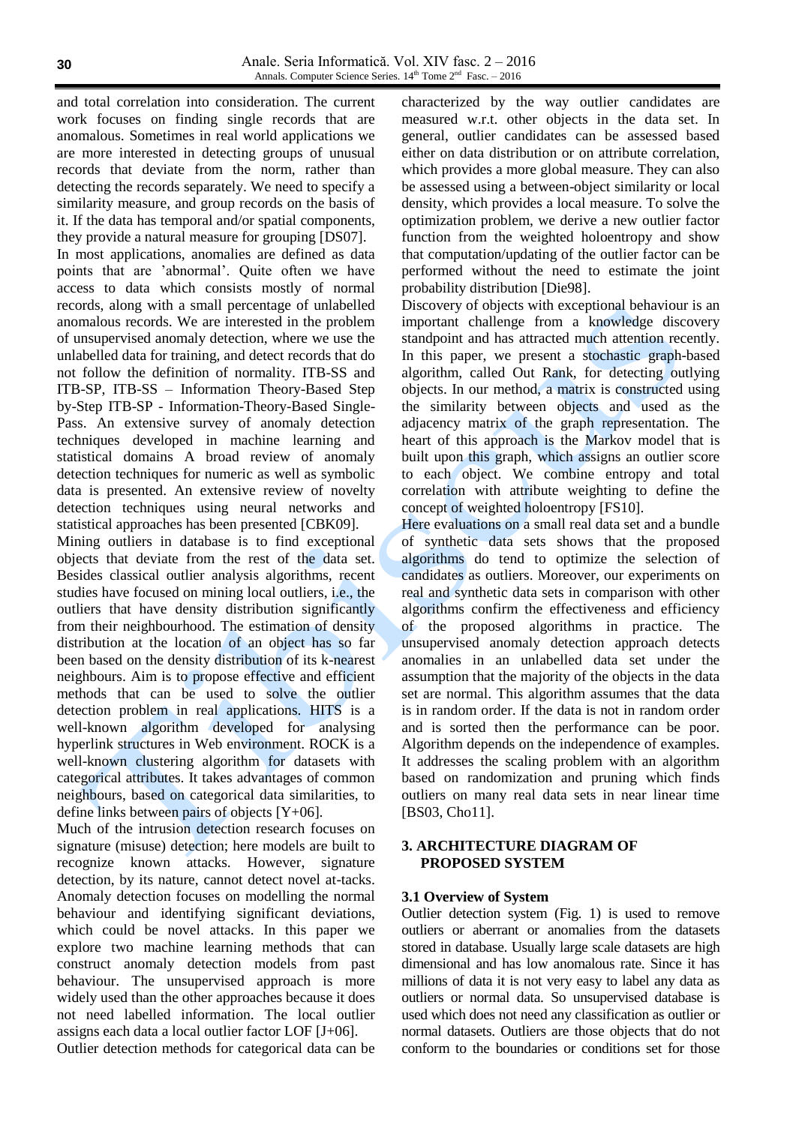and total correlation into consideration. The current work focuses on finding single records that are anomalous. Sometimes in real world applications we are more interested in detecting groups of unusual records that deviate from the norm, rather than detecting the records separately. We need to specify a similarity measure, and group records on the basis of it. If the data has temporal and/or spatial components, they provide a natural measure for grouping [DS07].

In most applications, anomalies are defined as data points that are 'abnormal'. Quite often we have access to data which consists mostly of normal records, along with a small percentage of unlabelled anomalous records. We are interested in the problem of unsupervised anomaly detection, where we use the unlabelled data for training, and detect records that do not follow the definition of normality. ITB-SS and ITB-SP, ITB-SS – Information Theory-Based Step by-Step ITB-SP - Information-Theory-Based Single-Pass. An extensive survey of anomaly detection techniques developed in machine learning and statistical domains A broad review of anomaly detection techniques for numeric as well as symbolic data is presented. An extensive review of novelty detection techniques using neural networks and statistical approaches has been presented [CBK09].

Mining outliers in database is to find exceptional objects that deviate from the rest of the data set. Besides classical outlier analysis algorithms, recent studies have focused on mining local outliers, i.e., the outliers that have density distribution significantly from their neighbourhood. The estimation of density distribution at the location of an object has so far been based on the density distribution of its k-nearest neighbours. Aim is to propose effective and efficient methods that can be used to solve the outlier detection problem in real applications. HITS is a well-known algorithm developed for analysing hyperlink structures in Web environment. ROCK is a well-known clustering algorithm for datasets with categorical attributes. It takes advantages of common neighbours, based on categorical data similarities, to define links between pairs of objects [Y+06].

Much of the intrusion detection research focuses on signature (misuse) detection; here models are built to recognize known attacks. However, signature detection, by its nature, cannot detect novel at-tacks. Anomaly detection focuses on modelling the normal behaviour and identifying significant deviations, which could be novel attacks. In this paper we explore two machine learning methods that can construct anomaly detection models from past behaviour. The unsupervised approach is more widely used than the other approaches because it does not need labelled information. The local outlier assigns each data a local outlier factor LOF [J+06]. Outlier detection methods for categorical data can be characterized by the way outlier candidates are measured w.r.t. other objects in the data set. In general, outlier candidates can be assessed based either on data distribution or on attribute correlation, which provides a more global measure. They can also be assessed using a between-object similarity or local density, which provides a local measure. To solve the optimization problem, we derive a new outlier factor function from the weighted holoentropy and show that computation/updating of the outlier factor can be performed without the need to estimate the joint probability distribution [Die98].

Discovery of objects with exceptional behaviour is an important challenge from a knowledge discovery standpoint and has attracted much attention recently. In this paper, we present a stochastic graph-based algorithm, called Out Rank, for detecting outlying objects. In our method, a matrix is constructed using the similarity between objects and used as the adjacency matrix of the graph representation. The heart of this approach is the Markov model that is built upon this graph, which assigns an outlier score to each object. We combine entropy and total correlation with attribute weighting to define the concept of weighted holoentropy [FS10].

Here evaluations on a small real data set and a bundle of synthetic data sets shows that the proposed algorithms do tend to optimize the selection of candidates as outliers. Moreover, our experiments on real and synthetic data sets in comparison with other algorithms confirm the effectiveness and efficiency of the proposed algorithms in practice. The unsupervised anomaly detection approach detects anomalies in an unlabelled data set under the assumption that the majority of the objects in the data set are normal. This algorithm assumes that the data is in random order. If the data is not in random order and is sorted then the performance can be poor. Algorithm depends on the independence of examples. It addresses the scaling problem with an algorithm based on randomization and pruning which finds outliers on many real data sets in near linear time [BS03, Cho11].

### **3. ARCHITECTURE DIAGRAM OF PROPOSED SYSTEM**

# **3.1 Overview of System**

Outlier detection system (Fig. 1) is used to remove outliers or aberrant or anomalies from the datasets stored in database. Usually large scale datasets are high dimensional and has low anomalous rate. Since it has millions of data it is not very easy to label any data as outliers or normal data. So unsupervised database is used which does not need any classification as outlier or normal datasets. Outliers are those objects that do not conform to the boundaries or conditions set for those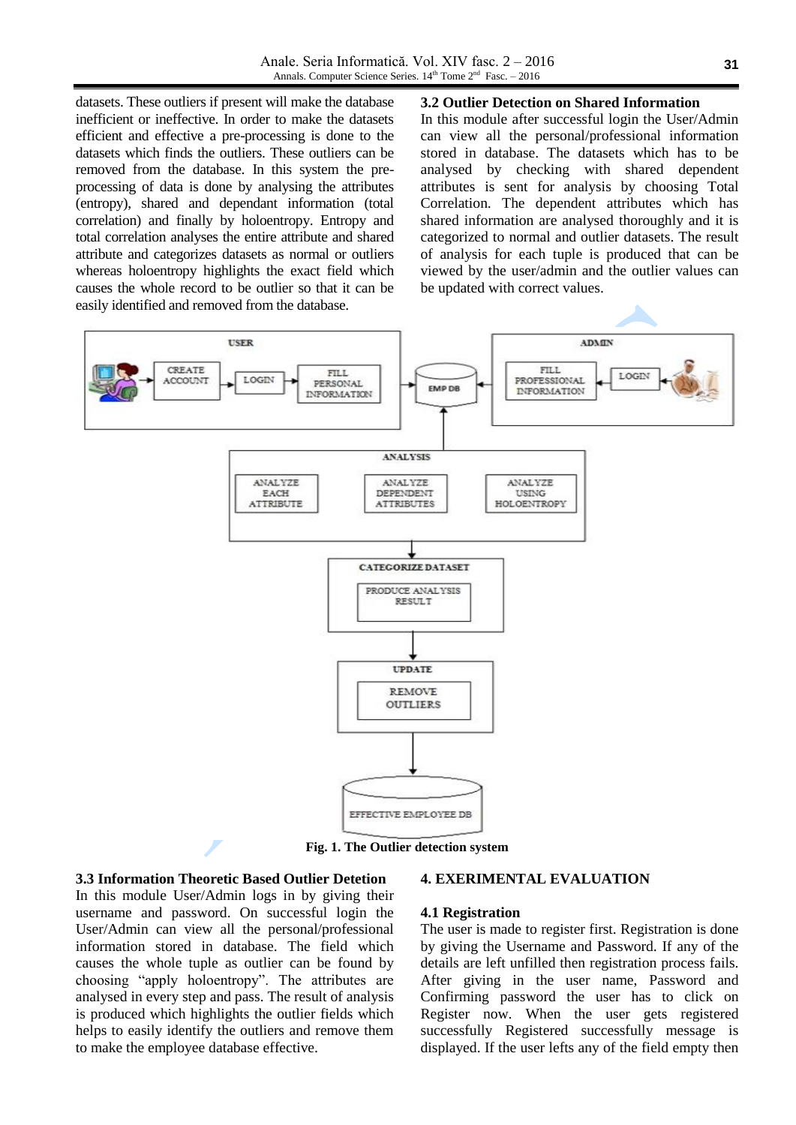datasets. These outliers if present will make the database inefficient or ineffective. In order to make the datasets efficient and effective a pre-processing is done to the datasets which finds the outliers. These outliers can be removed from the database. In this system the preprocessing of data is done by analysing the attributes (entropy), shared and dependant information (total correlation) and finally by holoentropy. Entropy and total correlation analyses the entire attribute and shared attribute and categorizes datasets as normal or outliers whereas holoentropy highlights the exact field which causes the whole record to be outlier so that it can be easily identified and removed from the database.

**3.2 Outlier Detection on Shared Information**

In this module after successful login the User/Admin can view all the personal/professional information stored in database. The datasets which has to be analysed by checking with shared dependent attributes is sent for analysis by choosing Total Correlation. The dependent attributes which has shared information are analysed thoroughly and it is categorized to normal and outlier datasets. The result of analysis for each tuple is produced that can be viewed by the user/admin and the outlier values can be updated with correct values.



**Fig. 1. The Outlier detection system**

#### **3.3 Information Theoretic Based Outlier Detetion**

In this module User/Admin logs in by giving their username and password. On successful login the User/Admin can view all the personal/professional information stored in database. The field which causes the whole tuple as outlier can be found by choosing "apply holoentropy". The attributes are analysed in every step and pass. The result of analysis is produced which highlights the outlier fields which helps to easily identify the outliers and remove them to make the employee database effective.

#### **4. EXERIMENTAL EVALUATION**

#### **4.1 Registration**

The user is made to register first. Registration is done by giving the Username and Password. If any of the details are left unfilled then registration process fails. After giving in the user name, Password and Confirming password the user has to click on Register now. When the user gets registered successfully Registered successfully message is displayed. If the user lefts any of the field empty then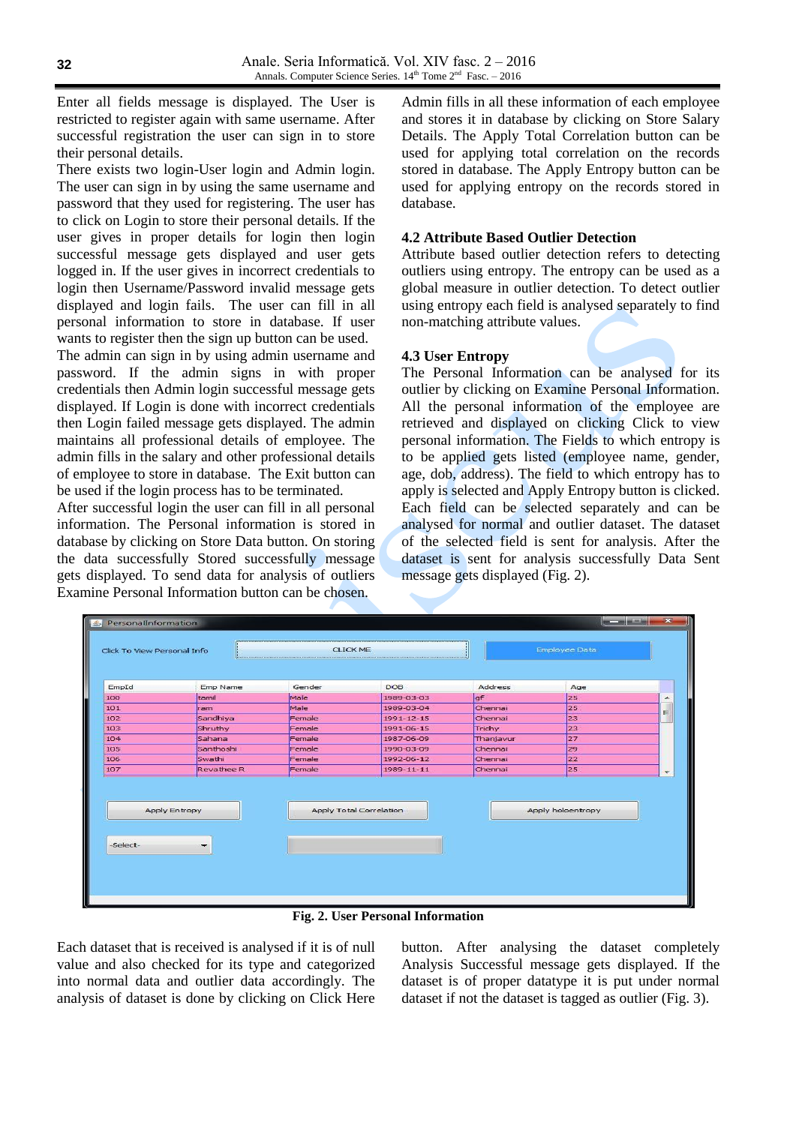Enter all fields message is displayed. The User is restricted to register again with same username. After successful registration the user can sign in to store their personal details.

There exists two login-User login and Admin login. The user can sign in by using the same username and password that they used for registering. The user has to click on Login to store their personal details. If the user gives in proper details for login then login successful message gets displayed and user gets logged in. If the user gives in incorrect credentials to login then Username/Password invalid message gets displayed and login fails. The user can fill in all personal information to store in database. If user wants to register then the sign up button can be used.

The admin can sign in by using admin username and password. If the admin signs in with proper credentials then Admin login successful message gets displayed. If Login is done with incorrect credentials then Login failed message gets displayed. The admin maintains all professional details of employee. The admin fills in the salary and other professional details of employee to store in database. The Exit button can be used if the login process has to be terminated.

After successful login the user can fill in all personal information. The Personal information is stored in database by clicking on Store Data button. On storing the data successfully Stored successfully message gets displayed. To send data for analysis of outliers Examine Personal Information button can be chosen.

Admin fills in all these information of each employee and stores it in database by clicking on Store Salary Details. The Apply Total Correlation button can be used for applying total correlation on the records stored in database. The Apply Entropy button can be used for applying entropy on the records stored in database.

#### **4.2 Attribute Based Outlier Detection**

Attribute based outlier detection refers to detecting outliers using entropy. The entropy can be used as a global measure in outlier detection. To detect outlier using entropy each field is analysed separately to find non-matching attribute values.

### **4.3 User Entropy**

The Personal Information can be analysed for its outlier by clicking on Examine Personal Information. All the personal information of the employee are retrieved and displayed on clicking Click to view personal information. The Fields to which entropy is to be applied gets listed (employee name, gender, age, dob, address). The field to which entropy has to apply is selected and Apply Entropy button is clicked. Each field can be selected separately and can be analysed for normal and outlier dataset. The dataset of the selected field is sent for analysis. After the dataset is sent for analysis successfully Data Sent message gets displayed (Fig. 2).

| Address<br>Emp Name<br>Gender<br><b>DOB</b><br>EmpId<br>Age<br>Male<br>1989-03-03<br>gf<br>25<br>tamil<br>100<br>Male<br>Chennai<br>25<br>1989-03-04<br>101<br>ram<br>102<br>Sandhiya<br>Female<br>1991-12-15<br>23<br>Chennai<br>Shruthy<br>Female<br>23<br>103<br>1991-06-15<br>Trichy<br>27<br>104<br>Sahana<br>Female<br>1987-06-09<br>Thanjavur<br>Santhoshi<br>Chennai<br>29<br>105<br>Female<br>1990-03-09<br>Swathi<br>22<br>106<br>Female<br>1992-06-12<br>Chennai<br>Revathee R<br>25<br>107<br>Female<br>1989-11-11<br>Chennai |
|-------------------------------------------------------------------------------------------------------------------------------------------------------------------------------------------------------------------------------------------------------------------------------------------------------------------------------------------------------------------------------------------------------------------------------------------------------------------------------------------------------------------------------------------|
|                                                                                                                                                                                                                                                                                                                                                                                                                                                                                                                                           |
|                                                                                                                                                                                                                                                                                                                                                                                                                                                                                                                                           |
|                                                                                                                                                                                                                                                                                                                                                                                                                                                                                                                                           |
|                                                                                                                                                                                                                                                                                                                                                                                                                                                                                                                                           |
|                                                                                                                                                                                                                                                                                                                                                                                                                                                                                                                                           |
|                                                                                                                                                                                                                                                                                                                                                                                                                                                                                                                                           |
|                                                                                                                                                                                                                                                                                                                                                                                                                                                                                                                                           |
|                                                                                                                                                                                                                                                                                                                                                                                                                                                                                                                                           |
|                                                                                                                                                                                                                                                                                                                                                                                                                                                                                                                                           |
|                                                                                                                                                                                                                                                                                                                                                                                                                                                                                                                                           |
| <b>Apply Entropy</b><br>Apply Total Correlation<br>Apply holoentropy                                                                                                                                                                                                                                                                                                                                                                                                                                                                      |

**Fig. 2. User Personal Information**

Each dataset that is received is analysed if it is of null value and also checked for its type and categorized into normal data and outlier data accordingly. The analysis of dataset is done by clicking on Click Here button. After analysing the dataset completely Analysis Successful message gets displayed. If the dataset is of proper datatype it is put under normal dataset if not the dataset is tagged as outlier (Fig. 3).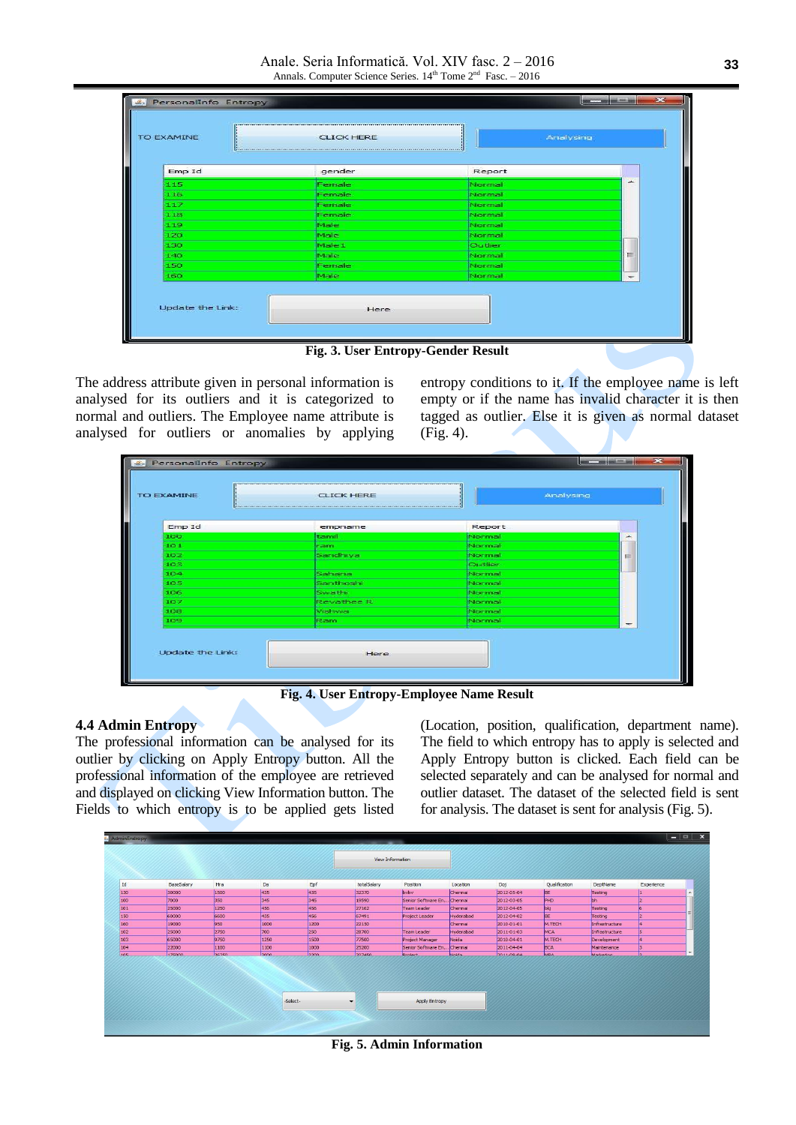Anale. Seria Informatică. Vol. XIV fasc. 2 – 2016 Annals. Computer Science Series.  $14^{th}$  Tome  $2^{nd}$  Fasc. - 2016

| gender | Report  |   |
|--------|---------|---|
| Female | Normal  | ∸ |
| Female | Normal  |   |
| Female | Mormal  |   |
| Female | Normal  |   |
| Male   | Normal  |   |
| Male   | Normal  |   |
| Male 1 | Outlier |   |
| Male   | Normal  | ≡ |
| Female | Normal  |   |
| Male   | Normal  |   |
|        |         |   |

**Fig. 3. User Entropy-Gender Result**

The address attribute given in personal information is analysed for its outliers and it is categorized to normal and outliers. The Employee name attribute is analysed for outliers or anomalies by applying entropy conditions to it. If the employee name is left empty or if the name has invalid character it is then tagged as outlier. Else it is given as normal dataset (Fig. 4).

| <b>CLICK HERE</b> |         | Analysing |
|-------------------|---------|-----------|
| empname           | Report  |           |
| tamil             | Normal  | ∽         |
| ram               | Normal  |           |
| Sandhiya          | Normal  | $\equiv$  |
|                   | Outlier |           |
| Sahana            | Normal  |           |
| Santhoshi         | Normal  |           |
| Swathi            | Normal  |           |
| Revathee R        | Normal  |           |
| Vishwa            | Normal  |           |
| Ram               | Normal  |           |
|                   |         |           |

**Fig. 4. User Entropy-Employee Name Result**

# **4.4 Admin Entropy**

The professional information can be analysed for its outlier by clicking on Apply Entropy button. All the professional information of the employee are retrieved and displayed on clicking View Information button. The Fields to which entropy is to be applied gets listed

(Location, position, qualification, department name). The field to which entropy has to apply is selected and Apply Entropy button is clicked. Each field can be selected separately and can be analysed for normal and outlier dataset. The dataset of the selected field is sent for analysis. The dataset is sent for analysis (Fig. 5).



**Fig. 5. Admin Information**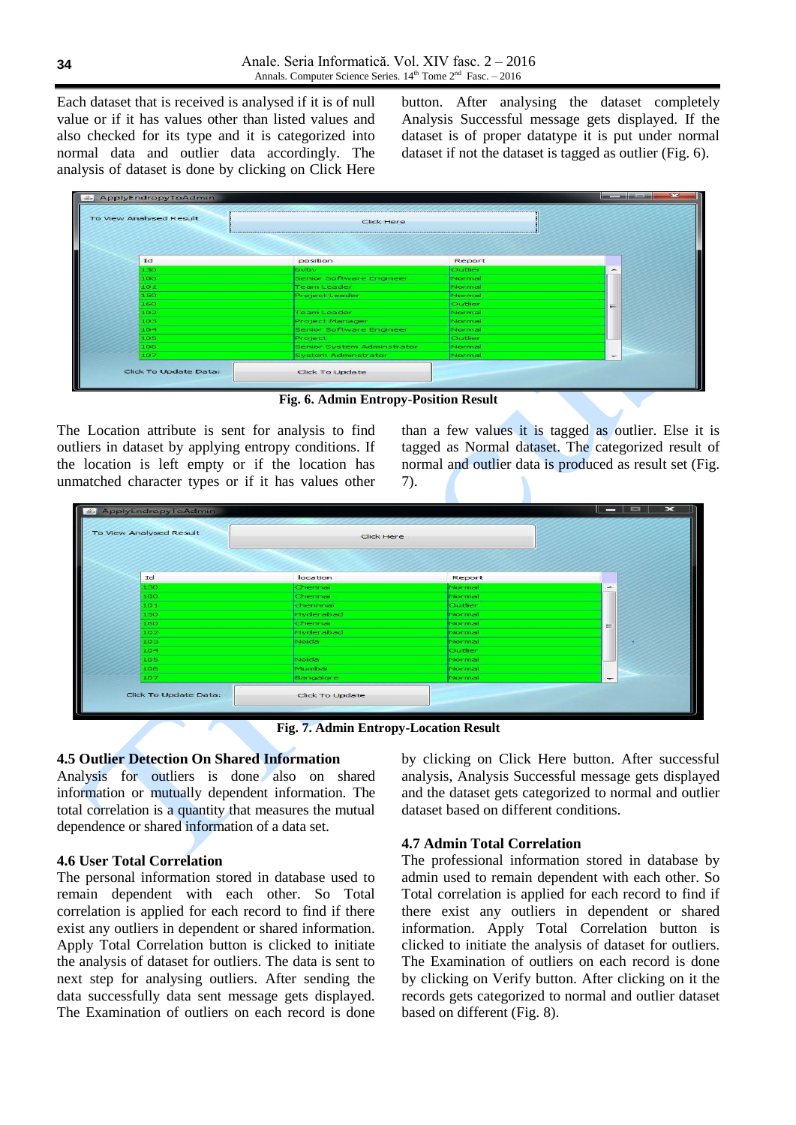Each dataset that is received is analysed if it is of null value or if it has values other than listed values and also checked for its type and it is categorized into normal data and outlier data accordingly. The analysis of dataset is done by clicking on Click Here

button. After analysing the dataset completely Analysis Successful message gets displayed. If the dataset is of proper datatype it is put under normal dataset if not the dataset is tagged as outlier (Fig. 6).

| ApplyEndropyToAdmin     |                            |                | $\mathbf{x}$ |
|-------------------------|----------------------------|----------------|--------------|
| To View Analysed Result | <b>Click Here</b>          |                |              |
| Id                      | position                   | Report         |              |
| 130                     | byby                       | <b>Qutlier</b> |              |
| 100                     | Senior Software Engineer   | Normal         |              |
| 101                     | <b>Team Leader</b>         | Normal         |              |
| 150                     | Project Leader             | Normal         |              |
| 160                     |                            | <b>Qutlier</b> | ≡            |
| 102                     | <b>Team Leader</b>         | Normal         |              |
| 103                     | Project Manager            | Normal         |              |
| 104                     | Senior Software Engineer   | Normal         |              |
| 105                     | Project                    | Qutlier        |              |
| 106                     | Senior System Adminstrator | Normal         |              |
| 107                     | <b>System Adminstrator</b> | Normal         |              |
| Click To Update Data:   | Click To Update            |                |              |

**Fig. 6. Admin Entropy-Position Result**

The Location attribute is sent for analysis to find outliers in dataset by applying entropy conditions. If the location is left empty or if the location has unmatched character types or if it has values other than a few values it is tagged as outlier. Else it is tagged as Normal dataset. The categorized result of normal and outlier data is produced as result set (Fig. 7).

| ApplyEndropyToAdmin     |                        |                | $\mathbf{\times}$<br>$-$ 0 $-$ |
|-------------------------|------------------------|----------------|--------------------------------|
| To View Analysed Result | Click Here             |                |                                |
| Id                      | location               | Report         |                                |
| 1.30                    | Chennai                | Normal         | -                              |
| 100                     | Chennai                | Normal         |                                |
| 101                     | chennnai               | Outlier        |                                |
| 150                     | Hyderabad              | <b>INormal</b> |                                |
| 160                     | Chennai                | Normal         | $=$                            |
| 102                     | Hyderabad              | Mormal         |                                |
| 103                     | Noida                  | Normal         |                                |
| 104                     |                        | Qutlier        |                                |
| 105                     | Noida                  | Normal         |                                |
| 106                     | Mumbai                 | Mormal         |                                |
| 107                     | Bangalore              | Normal         | $\sim$                         |
| Click To Update Data:   | <b>Click To Update</b> |                |                                |
|                         |                        |                |                                |

**Fig. 7. Admin Entropy-Location Result** 

# **4.5 Outlier Detection On Shared Information**

Analysis for outliers is done also on shared information or mutually dependent information. The total correlation is a quantity that measures the mutual dependence or shared information of a data set.

# **4.6 User Total Correlation**

The personal information stored in database used to remain dependent with each other. So Total correlation is applied for each record to find if there exist any outliers in dependent or shared information. Apply Total Correlation button is clicked to initiate the analysis of dataset for outliers. The data is sent to next step for analysing outliers. After sending the data successfully data sent message gets displayed. The Examination of outliers on each record is done by clicking on Click Here button. After successful analysis, Analysis Successful message gets displayed and the dataset gets categorized to normal and outlier dataset based on different conditions.

# **4.7 Admin Total Correlation**

The professional information stored in database by admin used to remain dependent with each other. So Total correlation is applied for each record to find if there exist any outliers in dependent or shared information. Apply Total Correlation button is clicked to initiate the analysis of dataset for outliers. The Examination of outliers on each record is done by clicking on Verify button. After clicking on it the records gets categorized to normal and outlier dataset based on different (Fig. 8).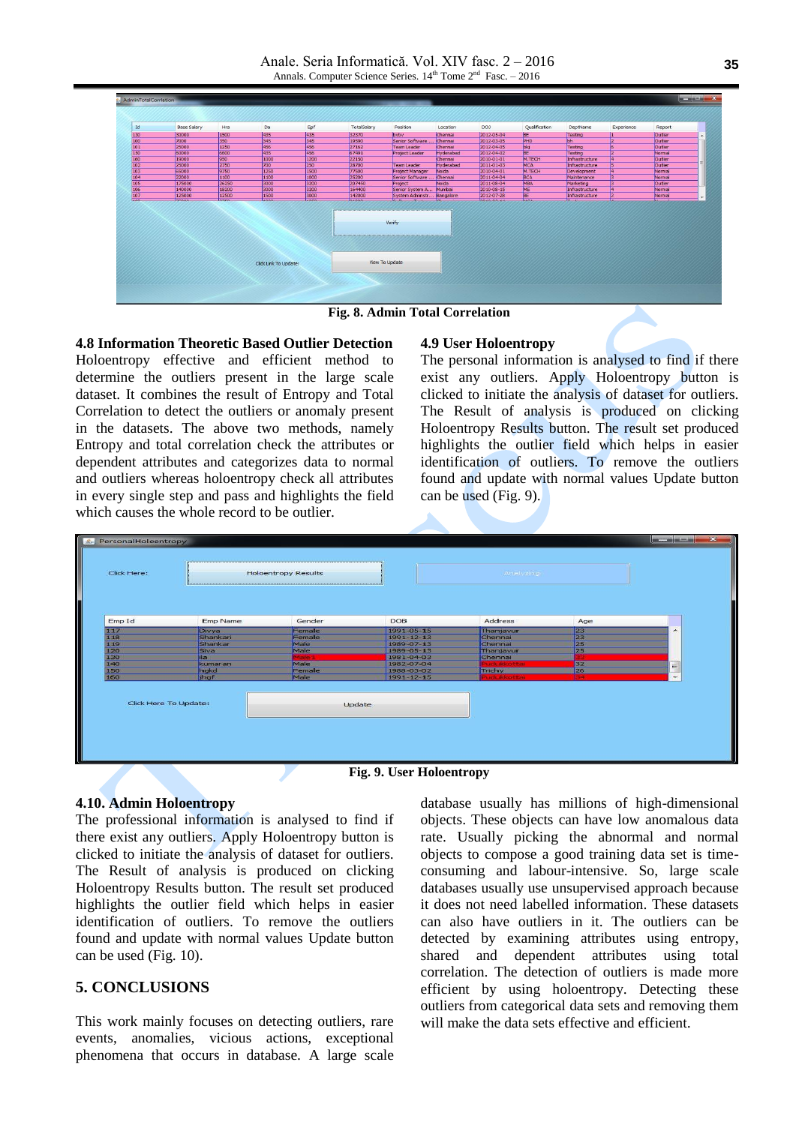Anale. Seria Informatică. Vol. XIV fasc. 2 – 2016 Annals. Computer Science Series.  $14^{th}$  Tome  $2^{nd}$  Fasc. - 2016



**Fig. 8. Admin Total Correlation**

# **4.8 Information Theoretic Based Outlier Detection**

Holoentropy effective and efficient method to determine the outliers present in the large scale dataset. It combines the result of Entropy and Total Correlation to detect the outliers or anomaly present in the datasets. The above two methods, namely Entropy and total correlation check the attributes or dependent attributes and categorizes data to normal and outliers whereas holoentropy check all attributes in every single step and pass and highlights the field which causes the whole record to be outlier.

#### **4.9 User Holoentropy**

The personal information is analysed to find if there exist any outliers. Apply Holoentropy button is clicked to initiate the analysis of dataset for outliers. The Result of analysis is produced on clicking Holoentropy Results button. The result set produced highlights the outlier field which helps in easier identification of outliers. To remove the outliers found and update with normal values Update button can be used (Fig. 9).

| Click Here:           |                     | <b>Holoentropy Results</b> |                          | Analyzing              |                |                          |
|-----------------------|---------------------|----------------------------|--------------------------|------------------------|----------------|--------------------------|
| Emp Id                | <b>Emp Name</b>     | Gender                     | <b>DOB</b>               | Address                | Age            |                          |
| 117                   | Divya               | Female                     | 1991-05-15               | Thanjavur              | 23             | $\overline{\phantom{a}}$ |
| 118                   | Shankari<br>Shankar | Female<br>Male             | 1991-12-13<br>1989-07-13 | Chennai<br>Chennai     | 23<br>25       |                          |
| 119<br>120            | Siva                | Male                       | 1989-05-13               | Thanjavur              | 25             |                          |
| 130                   | lila.               | <b>Statement</b>           | 1981-04-03               | Chennai                |                |                          |
| 140                   | kumaran             | Male                       | 1982-07-04               | <b>Nachulekorten</b>   | 32             |                          |
| 150                   | hgkd                | Female                     | 1988-03-02               | Trichy                 | 26             | $\equiv$                 |
| 160                   | jhgf                | Male                       | 1991-12-15               | <b>Procluitboottan</b> | <b>Company</b> | $\overline{\phantom{a}}$ |
| Click Here To Update: |                     |                            | Update                   |                        |                |                          |

**Fig. 9. User Holoentropy**

### **4.10. Admin Holoentropy**

The professional information is analysed to find if there exist any outliers. Apply Holoentropy button is clicked to initiate the analysis of dataset for outliers. The Result of analysis is produced on clicking Holoentropy Results button. The result set produced highlights the outlier field which helps in easier identification of outliers. To remove the outliers found and update with normal values Update button can be used (Fig. 10).

# **5. CONCLUSIONS**

This work mainly focuses on detecting outliers, rare events, anomalies, vicious actions, exceptional phenomena that occurs in database. A large scale database usually has millions of high-dimensional objects. These objects can have low anomalous data rate. Usually picking the abnormal and normal objects to compose a good training data set is timeconsuming and labour-intensive. So, large scale databases usually use unsupervised approach because it does not need labelled information. These datasets can also have outliers in it. The outliers can be detected by examining attributes using entropy, shared and dependent attributes using total correlation. The detection of outliers is made more efficient by using holoentropy. Detecting these outliers from categorical data sets and removing them will make the data sets effective and efficient.